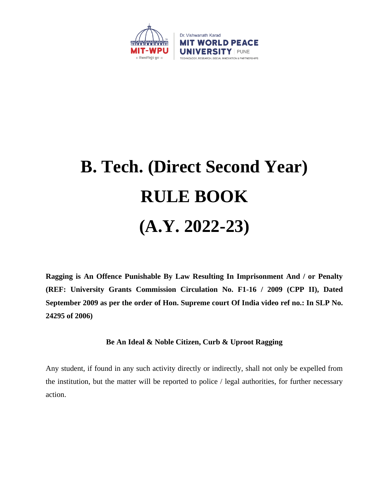

# **B. Tech. (Direct Second Year) RULE BOOK (A.Y. 2022-23)**

**Ragging is An Offence Punishable By Law Resulting In Imprisonment And / or Penalty (REF: University Grants Commission Circulation No. F1-16 / 2009 (CPP II), Dated September 2009 as per the order of Hon. Supreme court Of India video ref no.: In SLP No. 24295 of 2006)**

## **Be An Ideal & Noble Citizen, Curb & Uproot Ragging**

Any student, if found in any such activity directly or indirectly, shall not only be expelled from the institution, but the matter will be reported to police / legal authorities, for further necessary action.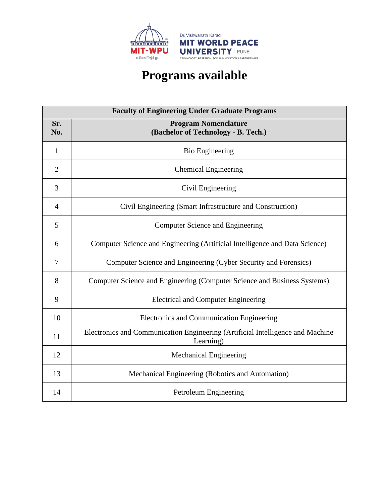

# **Programs available**

| <b>Faculty of Engineering Under Graduate Programs</b> |                                                                                             |  |
|-------------------------------------------------------|---------------------------------------------------------------------------------------------|--|
| Sr.<br>No.                                            | <b>Program Nomenclature</b><br>(Bachelor of Technology - B. Tech.)                          |  |
| 1                                                     | <b>Bio Engineering</b>                                                                      |  |
| $\overline{2}$                                        | <b>Chemical Engineering</b>                                                                 |  |
| 3                                                     | Civil Engineering                                                                           |  |
| $\overline{4}$                                        | Civil Engineering (Smart Infrastructure and Construction)                                   |  |
| 5                                                     | <b>Computer Science and Engineering</b>                                                     |  |
| 6                                                     | Computer Science and Engineering (Artificial Intelligence and Data Science)                 |  |
| $\tau$                                                | Computer Science and Engineering (Cyber Security and Forensics)                             |  |
| 8                                                     | Computer Science and Engineering (Computer Science and Business Systems)                    |  |
| 9                                                     | <b>Electrical and Computer Engineering</b>                                                  |  |
| 10                                                    | Electronics and Communication Engineering                                                   |  |
| 11                                                    | Electronics and Communication Engineering (Artificial Intelligence and Machine<br>Learning) |  |
| 12                                                    | <b>Mechanical Engineering</b>                                                               |  |
| 13                                                    | Mechanical Engineering (Robotics and Automation)                                            |  |
| 14                                                    | Petroleum Engineering                                                                       |  |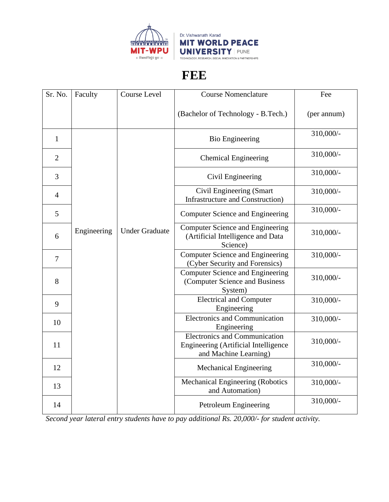

# **FEE**

| Sr. No.        | Faculty     | Course Level          | <b>Course Nomenclature</b>                                                                            | Fee          |
|----------------|-------------|-----------------------|-------------------------------------------------------------------------------------------------------|--------------|
|                |             |                       | (Bachelor of Technology - B.Tech.)                                                                    | (per annum)  |
| $\mathbf{1}$   |             |                       | <b>Bio Engineering</b>                                                                                | $310,000/$ - |
| $\overline{2}$ |             |                       | <b>Chemical Engineering</b>                                                                           | 310,000/-    |
| 3              |             |                       | Civil Engineering                                                                                     | 310,000/-    |
| $\overline{4}$ |             |                       | Civil Engineering (Smart<br><b>Infrastructure and Construction</b> )                                  | 310,000/-    |
| 5              |             |                       | Computer Science and Engineering                                                                      | 310,000/-    |
| 6              | Engineering | <b>Under Graduate</b> | <b>Computer Science and Engineering</b><br>(Artificial Intelligence and Data<br>Science)              | 310,000/-    |
| $\overline{7}$ |             |                       | Computer Science and Engineering<br>(Cyber Security and Forensics)                                    | 310,000/-    |
| 8              |             |                       | Computer Science and Engineering<br>(Computer Science and Business<br>System)                         | 310,000/-    |
| 9              |             |                       | <b>Electrical and Computer</b><br>Engineering                                                         | 310,000/-    |
| 10             |             |                       | <b>Electronics and Communication</b><br>Engineering                                                   | 310,000/-    |
| 11             |             |                       | <b>Electronics and Communication</b><br>Engineering (Artificial Intelligence<br>and Machine Learning) | 310,000/-    |
| 12             |             |                       | <b>Mechanical Engineering</b>                                                                         | 310,000/-    |
| 13             |             |                       | Mechanical Engineering (Robotics<br>and Automation)                                                   | 310,000/-    |
| 14             |             |                       | Petroleum Engineering                                                                                 | 310,000/-    |

*Second year lateral entry students have to pay additional Rs. 20,000/- for student activity.*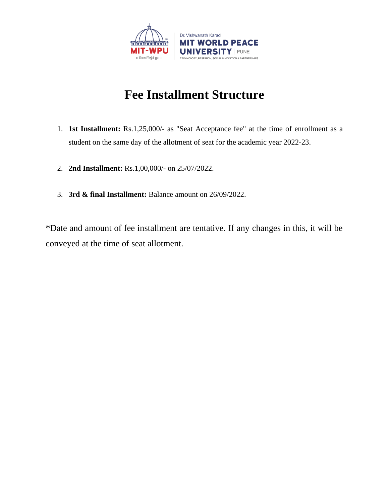

# **Fee Installment Structure**

- 1. **1st Installment:** Rs.1,25,000/- as "Seat Acceptance fee" at the time of enrollment as a student on the same day of the allotment of seat for the academic year 2022-23.
- 2. **2nd Installment:** Rs.1,00,000/- on 25/07/2022.
- 3. **3rd & final Installment:** Balance amount on 26/09/2022.

\*Date and amount of fee installment are tentative. If any changes in this, it will be conveyed at the time of seat allotment.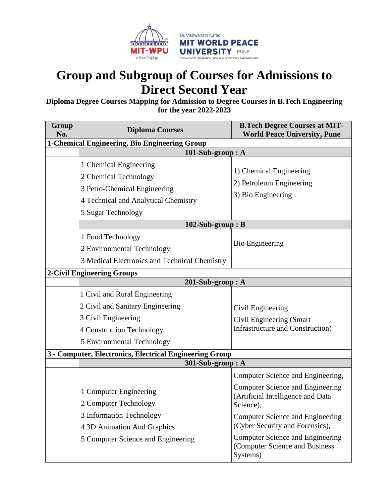

# **Group and Subgroup of Courses for Admissions to Direct Second Year**

**Diploma Degree Courses Mapping for Admission to Degree Courses in B.Tech Engineering for the year 2022-2023**

| Group<br>No.                                  | <b>Diploma Courses</b>                                  | <b>B.Tech Degree Courses at MIT-</b><br><b>World Peace University, Pune</b>           |
|-----------------------------------------------|---------------------------------------------------------|---------------------------------------------------------------------------------------|
| 1-Chemical Engineering, Bio Engineering Group |                                                         |                                                                                       |
|                                               | 101-Sub-group: A                                        |                                                                                       |
|                                               | 1 Chemical Engineering                                  | 1) Chemical Engineering                                                               |
|                                               | 2 Chemical Technology                                   | 2) Petroleum Engineering                                                              |
|                                               | 3 Petro-Chemical Engineering                            |                                                                                       |
|                                               | 4 Technical and Analytical Chemistry                    | 3) Bio Engineering                                                                    |
|                                               | 5 Sugar Technology                                      |                                                                                       |
|                                               | $102-Sub-group : B$                                     |                                                                                       |
|                                               | 1 Food Technology                                       |                                                                                       |
|                                               | 2 Environmental Technology                              | <b>Bio Engineering</b>                                                                |
|                                               | 3 Medical Electronics and Technical Chemistry           |                                                                                       |
| 2-Civil Engineering Groups                    |                                                         |                                                                                       |
|                                               | 201-Sub-group: A                                        |                                                                                       |
|                                               | 1 Civil and Rural Engineering                           |                                                                                       |
|                                               | 2 Civil and Sanitary Engineering                        | Civil Engineering                                                                     |
|                                               | 3 Civil Engineering                                     | Civil Engineering (Smart                                                              |
|                                               | 4 Construction Technology                               | <b>Infrastructure and Construction</b> )                                              |
|                                               | 5 Environmental Technology                              |                                                                                       |
|                                               | 3 - Computer, Electronics, Electrical Engineering Group |                                                                                       |
|                                               | 301-Sub-group: A                                        |                                                                                       |
|                                               |                                                         | Computer Science and Engineering,                                                     |
|                                               | 1 Computer Engineering                                  | <b>Computer Science and Engineering</b><br>(Artificial Intelligence and Data          |
|                                               | 2 Computer Technology                                   | Science),                                                                             |
|                                               | 3 Information Technology                                | Computer Science and Engineering                                                      |
|                                               | 4 3D Animation And Graphics                             | (Cyber Security and Forensics),                                                       |
|                                               | 5 Computer Science and Engineering                      | <b>Computer Science and Engineering</b><br>(Computer Science and Business<br>Systems) |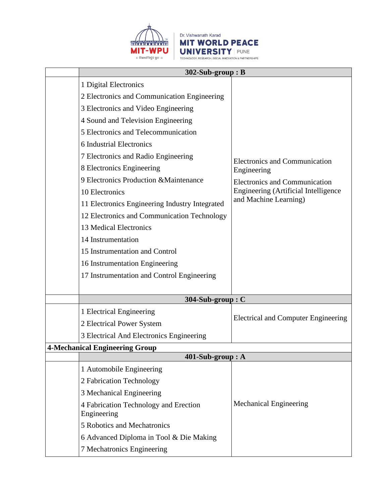

# Dr. Vishwanath Karad **MIT WORLD PEACE** UNIVERSITY PUNE

| $302-Sub-group : B$                                  |                                                     |  |
|------------------------------------------------------|-----------------------------------------------------|--|
| 1 Digital Electronics                                |                                                     |  |
| 2 Electronics and Communication Engineering          |                                                     |  |
| 3 Electronics and Video Engineering                  |                                                     |  |
| 4 Sound and Television Engineering                   |                                                     |  |
| 5 Electronics and Telecommunication                  |                                                     |  |
| 6 Industrial Electronics                             |                                                     |  |
| 7 Electronics and Radio Engineering                  |                                                     |  |
| 8 Electronics Engineering                            | <b>Electronics and Communication</b><br>Engineering |  |
| 9 Electronics Production & Maintenance               | <b>Electronics and Communication</b>                |  |
| 10 Electronics                                       | Engineering (Artificial Intelligence                |  |
| 11 Electronics Engineering Industry Integrated       | and Machine Learning)                               |  |
| 12 Electronics and Communication Technology          |                                                     |  |
| 13 Medical Electronics                               |                                                     |  |
| 14 Instrumentation                                   |                                                     |  |
| 15 Instrumentation and Control                       |                                                     |  |
| 16 Instrumentation Engineering                       |                                                     |  |
| 17 Instrumentation and Control Engineering           |                                                     |  |
|                                                      |                                                     |  |
| 304-Sub-group: C                                     |                                                     |  |
| 1 Electrical Engineering                             |                                                     |  |
| 2 Electrical Power System                            | <b>Electrical and Computer Engineering</b>          |  |
| 3 Electrical And Electronics Engineering             |                                                     |  |
| <b>4-Mechanical Engineering Group</b>                |                                                     |  |
| 401-Sub-group: A                                     |                                                     |  |
| 1 Automobile Engineering                             |                                                     |  |
| 2 Fabrication Technology                             |                                                     |  |
| 3 Mechanical Engineering                             |                                                     |  |
| 4 Fabrication Technology and Erection<br>Engineering | <b>Mechanical Engineering</b>                       |  |
| 5 Robotics and Mechatronics                          |                                                     |  |
| 6 Advanced Diploma in Tool & Die Making              |                                                     |  |
| 7 Mechatronics Engineering                           |                                                     |  |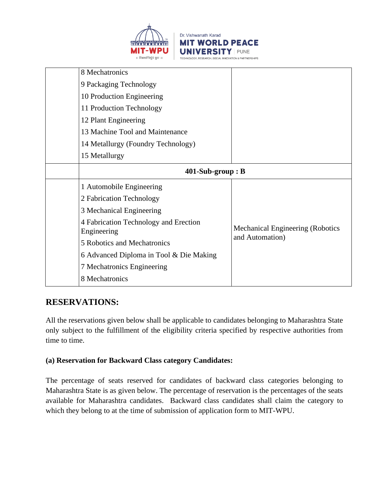



| 8 Mechatronics                                       |                                  |  |
|------------------------------------------------------|----------------------------------|--|
| 9 Packaging Technology                               |                                  |  |
| 10 Production Engineering                            |                                  |  |
| 11 Production Technology                             |                                  |  |
| 12 Plant Engineering                                 |                                  |  |
| 13 Machine Tool and Maintenance                      |                                  |  |
| 14 Metallurgy (Foundry Technology)                   |                                  |  |
| 15 Metallurgy                                        |                                  |  |
| $401-Sub-group : B$                                  |                                  |  |
| 1 Automobile Engineering                             |                                  |  |
| 2 Fabrication Technology                             |                                  |  |
| 3 Mechanical Engineering                             |                                  |  |
| 4 Fabrication Technology and Erection<br>Engineering | Mechanical Engineering (Robotics |  |
| 5 Robotics and Mechatronics                          | and Automation)                  |  |
| 6 Advanced Diploma in Tool & Die Making              |                                  |  |
| 7 Mechatronics Engineering                           |                                  |  |
| 8 Mechatronics                                       |                                  |  |

# **RESERVATIONS:**

All the reservations given below shall be applicable to candidates belonging to Maharashtra State only subject to the fulfillment of the eligibility criteria specified by respective authorities from time to time.

## **(a) Reservation for Backward Class category Candidates:**

The percentage of seats reserved for candidates of backward class categories belonging to Maharashtra State is as given below. The percentage of reservation is the percentages of the seats available for Maharashtra candidates. Backward class candidates shall claim the category to which they belong to at the time of submission of application form to MIT-WPU.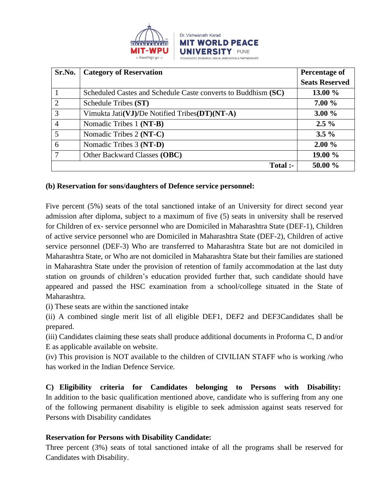

| Sr.No.         | <b>Category of Reservation</b>                                | Percentage of         |
|----------------|---------------------------------------------------------------|-----------------------|
|                |                                                               | <b>Seats Reserved</b> |
|                | Scheduled Castes and Schedule Caste converts to Buddhism (SC) | 13.00 %               |
| 2              | Schedule Tribes (ST)                                          | $7.00 \%$             |
| 3              | Vimukta Jati(VJ)/De Notified Tribes( $DT$ )(NT-A)             | $3.00 \%$             |
| $\overline{4}$ | Nomadic Tribes 1 (NT-B)                                       | $2.5\%$               |
| 5              | Nomadic Tribes 2 (NT-C)                                       | $3.5\%$               |
| 6              | Nomadic Tribes 3 (NT-D)                                       | $2.00 \%$             |
| 7              | Other Backward Classes (OBC)                                  | 19.00 %               |
|                | Total :-                                                      | 50.00 %               |

#### **(b) Reservation for sons/daughters of Defence service personnel:**

Five percent (5%) seats of the total sanctioned intake of an University for direct second year admission after diploma, subject to a maximum of five (5) seats in university shall be reserved for Children of ex- service personnel who are Domiciled in Maharashtra State (DEF-1), Children of active service personnel who are Domiciled in Maharashtra State (DEF-2), Children of active service personnel (DEF-3) Who are transferred to Maharashtra State but are not domiciled in Maharashtra State, or Who are not domiciled in Maharashtra State but their families are stationed in Maharashtra State under the provision of retention of family accommodation at the last duty station on grounds of children's education provided further that, such candidate should have appeared and passed the HSC examination from a school/college situated in the State of Maharashtra.

(i) These seats are within the sanctioned intake

(ii) A combined single merit list of all eligible DEF1, DEF2 and DEF3Candidates shall be prepared.

(iii) Candidates claiming these seats shall produce additional documents in Proforma C, D and/or E as applicable available on website.

(iv) This provision is NOT available to the children of CIVILIAN STAFF who is working /who has worked in the Indian Defence Service.

**C) Eligibility criteria for Candidates belonging to Persons with Disability:** In addition to the basic qualification mentioned above, candidate who is suffering from any one of the following permanent disability is eligible to seek admission against seats reserved for Persons with Disability candidates

## **Reservation for Persons with Disability Candidate:**

Three percent (3%) seats of total sanctioned intake of all the programs shall be reserved for Candidates with Disability.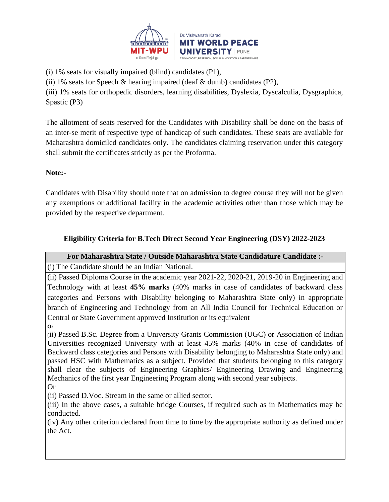

(i) 1% seats for visually impaired (blind) candidates (P1),

(ii) 1% seats for Speech & hearing impaired (deaf  $&$  dumb) candidates (P2),

(iii) 1% seats for orthopedic disorders, learning disabilities, Dyslexia, Dyscalculia, Dysgraphica, Spastic (P3)

The allotment of seats reserved for the Candidates with Disability shall be done on the basis of an inter-se merit of respective type of handicap of such candidates. These seats are available for Maharashtra domiciled candidates only. The candidates claiming reservation under this category shall submit the certificates strictly as per the Proforma.

# **Note:-**

Candidates with Disability should note that on admission to degree course they will not be given any exemptions or additional facility in the academic activities other than those which may be provided by the respective department.

# **Eligibility Criteria for B.Tech Direct Second Year Engineering (DSY) 2022-2023**

## **For Maharashtra State / Outside Maharashtra State Candidature Candidate :-**

(i) The Candidate should be an Indian National.

(ii) Passed Diploma Course in the academic year 2021-22, 2020-21, 2019-20 in Engineering and Technology with at least **45% marks** (40% marks in case of candidates of backward class categories and Persons with Disability belonging to Maharashtra State only) in appropriate branch of Engineering and Technology from an All India Council for Technical Education or Central or State Government approved Institution or its equivalent

**Or**

(ii) Passed B.Sc. Degree from a University Grants Commission (UGC) or Association of Indian Universities recognized University with at least 45% marks (40% in case of candidates of Backward class categories and Persons with Disability belonging to Maharashtra State only) and passed HSC with Mathematics as a subject. Provided that students belonging to this category shall clear the subjects of Engineering Graphics/ Engineering Drawing and Engineering Mechanics of the first year Engineering Program along with second year subjects.

Or

(ii) Passed D.Voc. Stream in the same or allied sector.

(iii) In the above cases, a suitable bridge Courses, if required such as in Mathematics may be conducted.

(iv) Any other criterion declared from time to time by the appropriate authority as defined under the Act.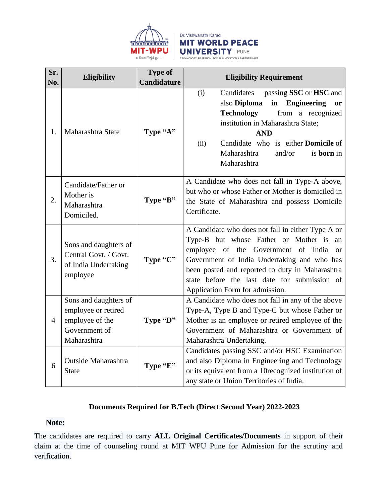

#### Dr. Vishwanath Karad **MIT WORLD PEACE UNIVERSITY PUNE** TECHNOLOGY, RESEARCH, SOCIAL INNOVATION & PARTNERSHIPS

**Sr. Sr. Eligibility Eligibility Type of <b>Candidature Eligibility Requirement** 1. Maharashtra State **Type "A"** (i) Candidates passing **SSC** or **HSC** and also **Diploma in Engineering or Technology** from a recognized institution in Maharashtra State; **AND** (ii) Candidate who is either **Domicile** of Maharashtra and/or is **born** in Maharashtra  $2<sub>1</sub>$ Candidate/Father or Mother is Maharashtra Domiciled. **Type "B"** A Candidate who does not fall in Type-A above, but who or whose Father or Mother is domiciled in the State of Maharashtra and possess Domicile Certificate. 3. Sons and daughters of Central Govt. / Govt. of India Undertaking employee **Type "C"** A Candidate who does not fall in either Type A or Type-B but whose Father or Mother is an employee of the Government of India or Government of India Undertaking and who has been posted and reported to duty in Maharashtra state before the last date for submission of Application Form for admission. 4 Sons and daughters of employee or retired employee of the Government of Maharashtra **Type "D"** A Candidate who does not fall in any of the above Type-A, Type B and Type-C but whose Father or Mother is an employee or retired employee of the Government of Maharashtra or Government of Maharashtra Undertaking. 6 Outside Maharashtra State Manarashua **Type "E"** Candidates passing SSC and/or HSC Examination and also Diploma in Engineering and Technology or its equivalent from a 10recognized institution of any state or Union Territories of India.

# **Documents Required for B.Tech (Direct Second Year) 2022-2023**

# **Note:**

The candidates are required to carry **ALL Original Certificates/Documents** in support of their claim at the time of counseling round at MIT WPU Pune for Admission for the scrutiny and verification.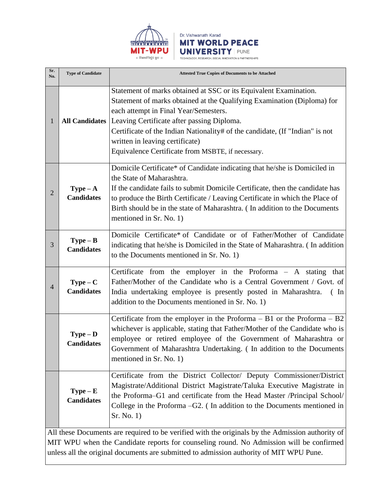

| Sr.<br>No.     | <b>Type of Candidate</b>                                                                                                                                                                    | <b>Attested True Copies of Documents to be Attached</b>                                                                                                                                                                                                                                                                                                                                                     |  |
|----------------|---------------------------------------------------------------------------------------------------------------------------------------------------------------------------------------------|-------------------------------------------------------------------------------------------------------------------------------------------------------------------------------------------------------------------------------------------------------------------------------------------------------------------------------------------------------------------------------------------------------------|--|
| 1              | <b>All Candidates</b>                                                                                                                                                                       | Statement of marks obtained at SSC or its Equivalent Examination.<br>Statement of marks obtained at the Qualifying Examination (Diploma) for<br>each attempt in Final Year/Semesters.<br>Leaving Certificate after passing Diploma.<br>Certificate of the Indian Nationality# of the candidate, (If "Indian" is not<br>written in leaving certificate)<br>Equivalence Certificate from MSBTE, if necessary. |  |
| $\overline{2}$ | $Type - A$<br><b>Candidates</b>                                                                                                                                                             | Domicile Certificate* of Candidate indicating that he/she is Domiciled in<br>the State of Maharashtra.<br>If the candidate fails to submit Domicile Certificate, then the candidate has<br>to produce the Birth Certificate / Leaving Certificate in which the Place of<br>Birth should be in the state of Maharashtra. (In addition to the Documents<br>mentioned in Sr. No. 1)                            |  |
| 3              | $Type - B$<br><b>Candidates</b>                                                                                                                                                             | Domicile Certificate* of Candidate or of Father/Mother of Candidate<br>indicating that he/she is Domiciled in the State of Maharashtra. (In addition<br>to the Documents mentioned in Sr. No. 1)                                                                                                                                                                                                            |  |
| $\overline{4}$ | $Type - C$<br><b>Candidates</b>                                                                                                                                                             | Certificate from the employer in the Proforma $-$ A stating that<br>Father/Mother of the Candidate who is a Central Government / Govt. of<br>India undertaking employee is presently posted in Maharashtra.<br>$\left( \quad \text{In} \right)$<br>addition to the Documents mentioned in Sr. No. 1)                                                                                                        |  |
|                | $Type - D$<br><b>Candidates</b>                                                                                                                                                             | Certificate from the employer in the Proforma $- B1$ or the Proforma $- B2$<br>whichever is applicable, stating that Father/Mother of the Candidate who is<br>employee or retired employee of the Government of Maharashtra or<br>Government of Maharashtra Undertaking. (In addition to the Documents<br>mentioned in Sr. No. 1)                                                                           |  |
|                | $Type - E$<br><b>Candidates</b>                                                                                                                                                             | Certificate from the District Collector/ Deputy Commissioner/District<br>Magistrate/Additional District Magistrate/Taluka Executive Magistrate in<br>the Proforma–G1 and certificate from the Head Master /Principal School/<br>College in the Proforma $-G2$ . (In addition to the Documents mentioned in<br>Sr. No. 1)                                                                                    |  |
|                | All these Documents are required to be verified with the originals by the Admission authority of<br>MIT WPH when the Candidate reports for counseling round. No Admission will be confirmed |                                                                                                                                                                                                                                                                                                                                                                                                             |  |

Dr. Vishwanath Karad

**MIT WORLD PEACE** 

TECHNOLOGY, RESEARCH, SOCIAL INNOVATION & PARTNERSHIPS

**UNIVERSITY | PUNE** 

MIT WPU when the Candidate reports for counseling round. No Admission will be confirmed unless all the original documents are submitted to admission authority of MIT WPU Pune.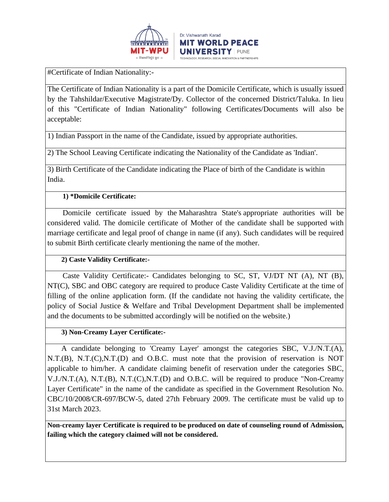

#Certificate of Indian Nationality:-

The Certificate of Indian Nationality is a part of the Domicile Certificate, which is usually issued by the Tahshildar/Executive Magistrate/Dy. Collector of the concerned District/Taluka. In lieu of this "Certificate of Indian Nationality" following Certificates/Documents will also be acceptable:

1) Indian Passport in the name of the Candidate, issued by appropriate authorities.

2) The School Leaving Certificate indicating the Nationality of the Candidate as 'Indian'.

3) Birth Certificate of the Candidate indicating the Place of birth of the Candidate is within India.

#### **1) \*Domicile Certificate:**

 Domicile certificate issued by the Maharashtra State's appropriate authorities will be considered valid. The domicile certificate of Mother of the candidate shall be supported with marriage certificate and legal proof of change in name (if any). Such candidates will be required to submit Birth certificate clearly mentioning the name of the mother.

## **2) Caste Validity Certificate:-**

 Caste Validity Certificate:- Candidates belonging to SC, ST, VJ/DT NT (A), NT (B), NT(C), SBC and OBC category are required to produce Caste Validity Certificate at the time of filling of the online application form. (If the candidate not having the validity certificate, the policy of Social Justice & Welfare and Tribal Development Department shall be implemented and the documents to be submitted accordingly will be notified on the website.)

#### **3) Non-Creamy Layer Certificate:-**

 A candidate belonging to 'Creamy Layer' amongst the categories SBC, V.J./N.T.(A), N.T.(B), N.T.(C),N.T.(D) and O.B.C. must note that the provision of reservation is NOT applicable to him/her. A candidate claiming benefit of reservation under the categories SBC, V.J./N.T.(A), N.T.(B), N.T.(C),N.T.(D) and O.B.C. will be required to produce "Non-Creamy Layer Certificate" in the name of the candidate as specified in the Government Resolution No. CBC/10/2008/CR-697/BCW-5, dated 27th February 2009. The certificate must be valid up to 31st March 2023.

**Non-creamy layer Certificate is required to be produced on date of counseling round of Admission, failing which the category claimed will not be considered.**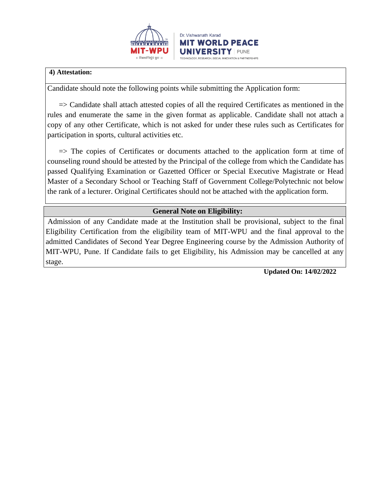

#### **4) Attestation:**

Candidate should note the following points while submitting the Application form:

 $\Rightarrow$  Candidate shall attach attested copies of all the required Certificates as mentioned in the rules and enumerate the same in the given format as applicable. Candidate shall not attach a copy of any other Certificate, which is not asked for under these rules such as Certificates for participation in sports, cultural activities etc.

 $\Rightarrow$  The copies of Certificates or documents attached to the application form at time of counseling round should be attested by the Principal of the college from which the Candidate has passed Qualifying Examination or Gazetted Officer or Special Executive Magistrate or Head Master of a Secondary School or Teaching Staff of Government College/Polytechnic not below the rank of a lecturer. Original Certificates should not be attached with the application form.

# **General Note on Eligibility:**

Admission of any Candidate made at the Institution shall be provisional, subject to the final Eligibility Certification from the eligibility team of MIT-WPU and the final approval to the admitted Candidates of Second Year Degree Engineering course by the Admission Authority of MIT-WPU, Pune. If Candidate fails to get Eligibility, his Admission may be cancelled at any stage.

 **Updated On: 14/02/2022**